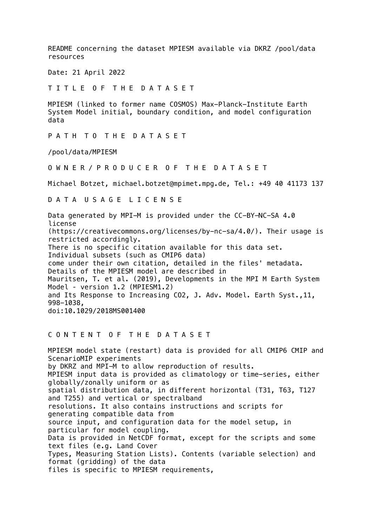README concerning the dataset MPIESM available via DKRZ /pool/data resources

Date: 21 April 2022

T I T L E O F T H E D A T A S E T

MPIESM (linked to former name COSMOS) Max-Planck-Institute Earth System Model initial, boundary condition, and model configuration data

P A T H T O T H E D A T A S E T

/pool/data/MPIESM

O W N E R / P R O D U C E R O F T H E D A T A S E T

Michael Botzet, michael.botzet@mpimet.mpg.de, Tel.: +49 40 41173 137

D A T A U S A G E L I C E N S E

Data generated by MPI-M is provided under the CC-BY-NC-SA 4.0 license (https://creativecommons.org/licenses/by-nc-sa/4.0/). Their usage is restricted accordingly. There is no specific citation available for this data set. Individual subsets (such as CMIP6 data) come under their own citation, detailed in the files' metadata. Details of the MPIESM model are described in Mauritsen, T. et al. (2019), Developments in the MPI M Earth System Model ‐ version 1.2 (MPIESM1.2) and Its Response to Increasing CO2, J. Adv. Model. Earth Syst.,11, 998-1038, doi:10.1029/2018MS001400

## C O N T E N T O F T H E D A T A S E T

MPIESM model state (restart) data is provided for all CMIP6 CMIP and ScenarioMIP experiments by DKRZ and MPI-M to allow reproduction of results. MPIESM input data is provided as climatology or time-series, either globally/zonally uniform or as spatial distribution data, in different horizontal (T31, T63, T127 and T255) and vertical or spectralband resolutions. It also contains instructions and scripts for generating compatible data from source input, and configuration data for the model setup, in particular for model coupling. Data is provided in NetCDF format, except for the scripts and some text files (e.g. Land Cover Types, Measuring Station Lists). Contents (variable selection) and format (gridding) of the data files is specific to MPIESM requirements,